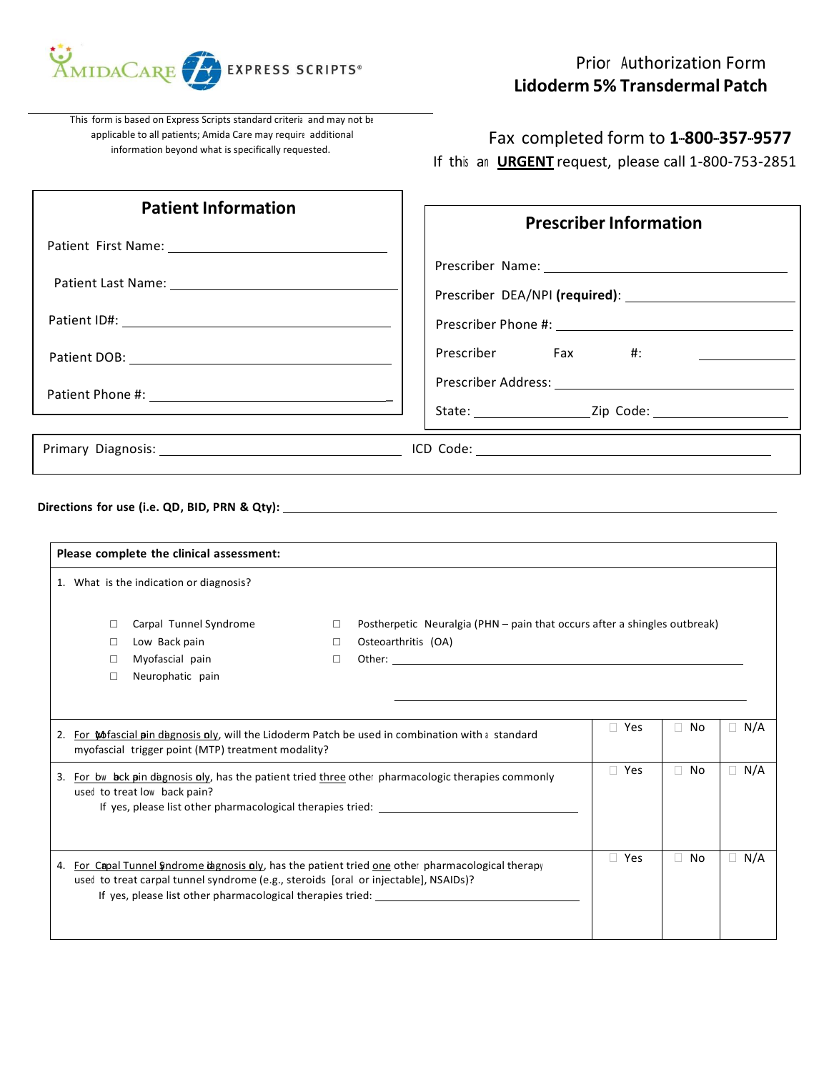

This form is based on Express Scripts standard criteria and may not be applicable to all patients; Amida Care may require additional information beyond what is specifically requested.

Fax completed form to **1-800-357-9577**

If this an **URGENT** request, please call 1-800-753-2851

| <b>Patient Information</b>                                                                                                                                                                                                                              |                                                                                                                                                                                                                               | <b>Prescriber Information</b> |           |                                           |  |  |
|---------------------------------------------------------------------------------------------------------------------------------------------------------------------------------------------------------------------------------------------------------|-------------------------------------------------------------------------------------------------------------------------------------------------------------------------------------------------------------------------------|-------------------------------|-----------|-------------------------------------------|--|--|
|                                                                                                                                                                                                                                                         |                                                                                                                                                                                                                               |                               |           |                                           |  |  |
|                                                                                                                                                                                                                                                         |                                                                                                                                                                                                                               |                               |           |                                           |  |  |
|                                                                                                                                                                                                                                                         |                                                                                                                                                                                                                               |                               |           |                                           |  |  |
|                                                                                                                                                                                                                                                         | Prescriber<br>Fax                                                                                                                                                                                                             | #:                            |           | the company of the company of the company |  |  |
|                                                                                                                                                                                                                                                         |                                                                                                                                                                                                                               |                               |           |                                           |  |  |
|                                                                                                                                                                                                                                                         |                                                                                                                                                                                                                               |                               |           |                                           |  |  |
|                                                                                                                                                                                                                                                         |                                                                                                                                                                                                                               |                               |           |                                           |  |  |
| 1. What is the indication or diagnosis?<br>Carpal Tunnel Syndrome<br>0<br>Low Back pain<br>0<br>Myofascial pain<br>□<br>Neurophatic pain<br>$\Box$                                                                                                      | Postherpetic Neuralgia (PHN - pain that occurs after a shingles outbreak)<br>□<br>Osteoarthritis (OA)<br>$\Box$<br>$\Box$                                                                                                     |                               |           |                                           |  |  |
| 2. For Mofascial pin dagnosis oly, will the Lidoderm Patch be used in combination with a standard<br>myofascial trigger point (MTP) treatment modality?                                                                                                 | the control of the control of the control of the control of the control of the control of the control of the control of the control of the control of the control of the control of the control of the control of the control | $\Box$ Yes                    | $\Box$ No | $\Box$ N/A                                |  |  |
| 3. For by bock pin dagnosis oly, has the patient tried three other pharmacologic therapies commonly<br>used to treat low back pain?<br>If yes, please list other pharmacological therapies tried: _                                                     |                                                                                                                                                                                                                               | $\Box$ Yes                    | $\Box$ No | $\Box$ N/A                                |  |  |
| 4. For Capal Tunnel Sindrome tagnosis oly, has the patient tried one other pharmacological therapy<br>used to treat carpal tunnel syndrome (e.g., steroids [oral or injectable], NSAIDs)?<br>If yes, please list other pharmacological therapies tried: |                                                                                                                                                                                                                               | □ Yes                         | $\Box$ No | $\Box$ N/A                                |  |  |